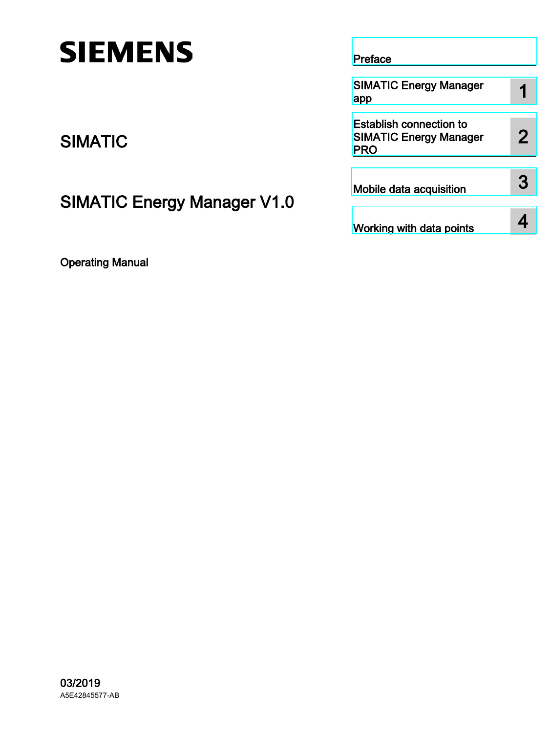# **SIEMENS**

# SIMATIC

# SIMATIC Energy Manager V1.0

Operating Manual

#### Preface

| <b>SIMATIC Energy Manager</b><br>app                                   |   |
|------------------------------------------------------------------------|---|
| Establish connection to<br><b>SIMATIC Energy Manager</b><br><b>PRO</b> | 2 |
| Mobile data acquisition                                                | 3 |
| Working with data points                                               |   |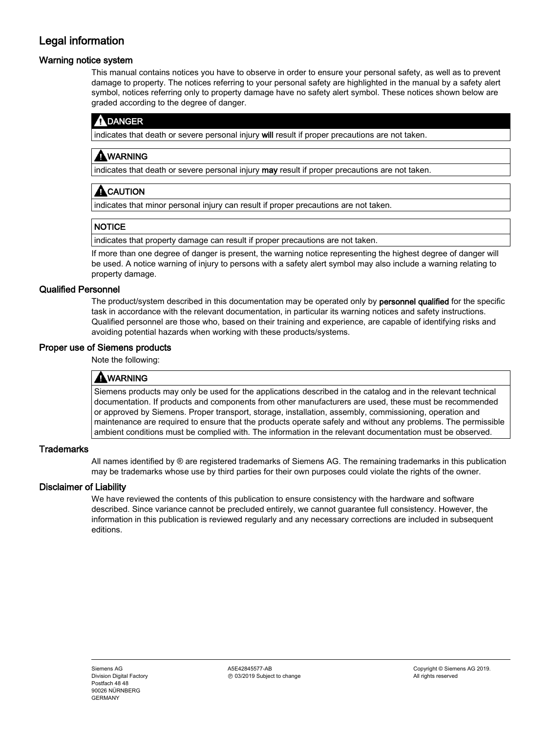#### Legal information

#### Warning notice system

This manual contains notices you have to observe in order to ensure your personal safety, as well as to prevent damage to property. The notices referring to your personal safety are highlighted in the manual by a safety alert symbol, notices referring only to property damage have no safety alert symbol. These notices shown below are graded according to the degree of danger.

#### **A** DANGER

indicates that death or severe personal injury will result if proper precautions are not taken.

#### **AWARNING**

indicates that death or severe personal injury may result if proper precautions are not taken.

#### $\spadesuit$ CAUTION

indicates that minor personal injury can result if proper precautions are not taken.

#### **NOTICE**

indicates that property damage can result if proper precautions are not taken.

If more than one degree of danger is present, the warning notice representing the highest degree of danger will be used. A notice warning of injury to persons with a safety alert symbol may also include a warning relating to property damage.

#### Qualified Personnel

The product/system described in this documentation may be operated only by personnel qualified for the specific task in accordance with the relevant documentation, in particular its warning notices and safety instructions. Qualified personnel are those who, based on their training and experience, are capable of identifying risks and avoiding potential hazards when working with these products/systems.

#### Proper use of Siemens products

Note the following:

#### WARNING

Siemens products may only be used for the applications described in the catalog and in the relevant technical documentation. If products and components from other manufacturers are used, these must be recommended or approved by Siemens. Proper transport, storage, installation, assembly, commissioning, operation and maintenance are required to ensure that the products operate safely and without any problems. The permissible ambient conditions must be complied with. The information in the relevant documentation must be observed.

#### **Trademarks**

All names identified by ® are registered trademarks of Siemens AG. The remaining trademarks in this publication may be trademarks whose use by third parties for their own purposes could violate the rights of the owner.

#### Disclaimer of Liability

We have reviewed the contents of this publication to ensure consistency with the hardware and software described. Since variance cannot be precluded entirely, we cannot guarantee full consistency. However, the information in this publication is reviewed regularly and any necessary corrections are included in subsequent editions.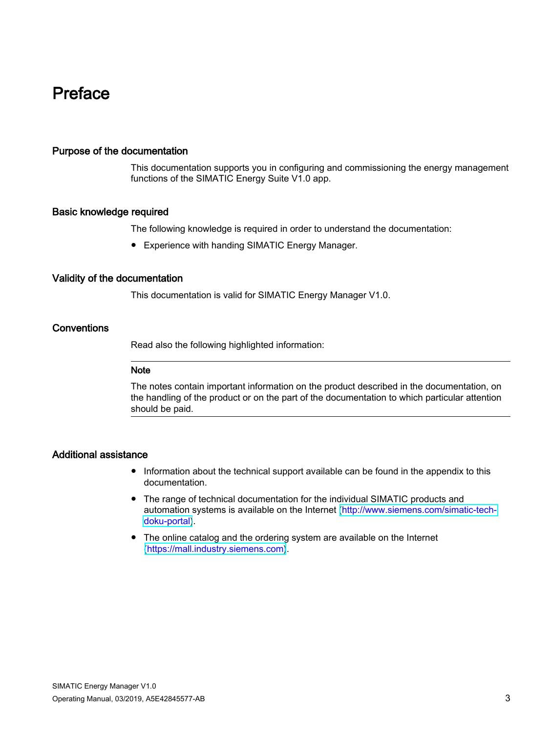# <span id="page-2-0"></span>Preface

#### Purpose of the documentation

This documentation supports you in configuring and commissioning the energy management functions of the SIMATIC Energy Suite V1.0 app.

#### Basic knowledge required

The following knowledge is required in order to understand the documentation:

● Experience with handing SIMATIC Energy Manager.

#### Validity of the documentation

This documentation is valid for SIMATIC Energy Manager V1.0.

#### **Conventions**

Read also the following highlighted information:

#### Note

The notes contain important information on the product described in the documentation, on the handling of the product or on the part of the documentation to which particular attention should be paid.

#### Additional assistance

- Information about the technical support available can be found in the appendix to this documentation.
- The range of technical documentation for the individual SIMATIC products and automation systems is available on the Internet [\(http://www.siemens.com/simatic-tech](http://www.siemens.com/simatic-tech-doku-portal)[doku-portal\)](http://www.siemens.com/simatic-tech-doku-portal).
- The online catalog and the ordering system are available on the Internet [\(https://mall.industry.siemens.com\)](https://mall.industry.siemens.com/).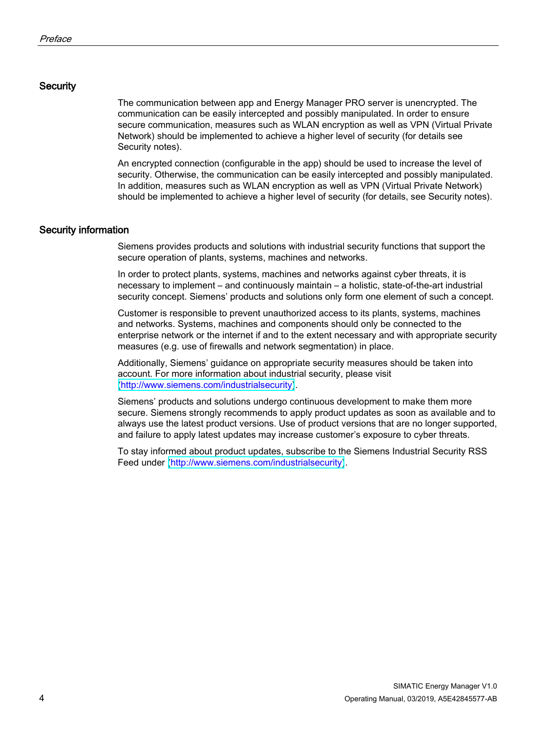#### **Security**

The communication between app and Energy Manager PRO server is unencrypted. The communication can be easily intercepted and possibly manipulated. In order to ensure secure communication, measures such as WLAN encryption as well as VPN (Virtual Private Network) should be implemented to achieve a higher level of security (for details see Security notes).

An encrypted connection (configurable in the app) should be used to increase the level of security. Otherwise, the communication can be easily intercepted and possibly manipulated. In addition, measures such as WLAN encryption as well as VPN (Virtual Private Network) should be implemented to achieve a higher level of security (for details, see Security notes).

#### Security information

Siemens provides products and solutions with industrial security functions that support the secure operation of plants, systems, machines and networks.

In order to protect plants, systems, machines and networks against cyber threats, it is necessary to implement – and continuously maintain – a holistic, state-of-the-art industrial security concept. Siemens' products and solutions only form one element of such a concept.

Customer is responsible to prevent unauthorized access to its plants, systems, machines and networks. Systems, machines and components should only be connected to the enterprise network or the internet if and to the extent necessary and with appropriate security measures (e.g. use of firewalls and network segmentation) in place.

Additionally, Siemens' guidance on appropriate security measures should be taken into account. For more information about industrial security, please visit [\(http://www.siemens.com/industrialsecurity\)](http://www.siemens.com/industrialsecurity).

Siemens' products and solutions undergo continuous development to make them more secure. Siemens strongly recommends to apply product updates as soon as available and to always use the latest product versions. Use of product versions that are no longer supported, and failure to apply latest updates may increase customer's exposure to cyber threats.

To stay informed about product updates, subscribe to the Siemens Industrial Security RSS Feed under [\(http://www.siemens.com/industrialsecurity\)](http://www.siemens.com/industrialsecurity).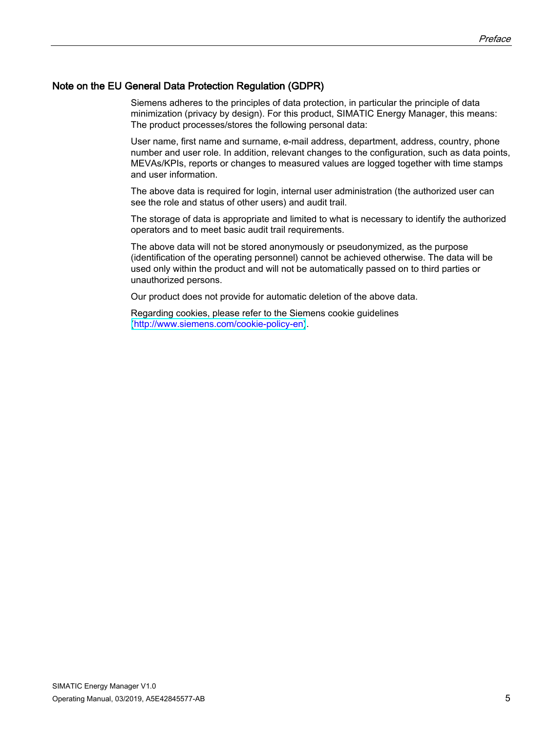#### Note on the EU General Data Protection Regulation (GDPR)

Siemens adheres to the principles of data protection, in particular the principle of data minimization (privacy by design). For this product, SIMATIC Energy Manager, this means: The product processes/stores the following personal data:

User name, first name and surname, e-mail address, department, address, country, phone number and user role. In addition, relevant changes to the configuration, such as data points, MEVAs/KPIs, reports or changes to measured values are logged together with time stamps and user information.

The above data is required for login, internal user administration (the authorized user can see the role and status of other users) and audit trail.

The storage of data is appropriate and limited to what is necessary to identify the authorized operators and to meet basic audit trail requirements.

The above data will not be stored anonymously or pseudonymized, as the purpose (identification of the operating personnel) cannot be achieved otherwise. The data will be used only within the product and will not be automatically passed on to third parties or unauthorized persons.

Our product does not provide for automatic deletion of the above data.

Regarding cookies, please refer to the Siemens cookie guidelines [\(http://www.siemens.com/cookie-policy-en\)](http://www.siemens.com/cookie-policy-en).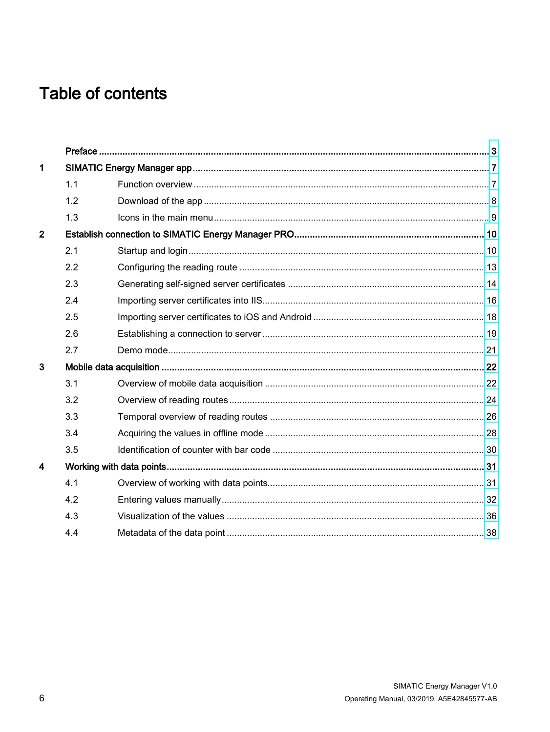# Table of contents

| $\mathbf 1$             |     |  |
|-------------------------|-----|--|
|                         | 1.1 |  |
|                         | 1.2 |  |
|                         | 1.3 |  |
| $\overline{2}$          |     |  |
|                         | 2.1 |  |
|                         | 2.2 |  |
|                         | 2.3 |  |
|                         | 2.4 |  |
|                         | 2.5 |  |
|                         | 2.6 |  |
|                         | 2.7 |  |
| $\overline{3}$          |     |  |
|                         | 3.1 |  |
|                         | 3.2 |  |
|                         | 3.3 |  |
|                         | 3.4 |  |
|                         | 3.5 |  |
| $\overline{\mathbf{4}}$ |     |  |
|                         | 4.1 |  |
|                         | 4.2 |  |
|                         | 4.3 |  |
|                         | 4.4 |  |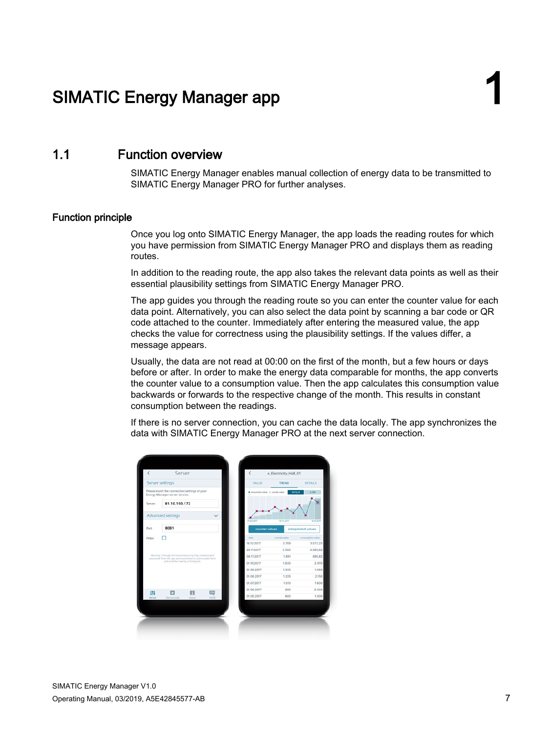# <span id="page-6-1"></span><span id="page-6-0"></span>SIMATIC Energy Manager app

### 1.1 Function overview

SIMATIC Energy Manager enables manual collection of energy data to be transmitted to SIMATIC Energy Manager PRO for further analyses.

#### Function principle

Once you log onto SIMATIC Energy Manager, the app loads the reading routes for which you have permission from SIMATIC Energy Manager PRO and displays them as reading routes.

In addition to the reading route, the app also takes the relevant data points as well as their essential plausibility settings from SIMATIC Energy Manager PRO.

The app guides you through the reading route so you can enter the counter value for each data point. Alternatively, you can also select the data point by scanning a bar code or QR code attached to the counter. Immediately after entering the measured value, the app checks the value for correctness using the plausibility settings. If the values differ, a message appears.

Usually, the data are not read at 00:00 on the first of the month, but a few hours or days before or after. In order to make the energy data comparable for months, the app converts the counter value to a consumption value. Then the app calculates this consumption value backwards or forwards to the respective change of the month. This results in constant consumption between the readings.

If there is no server connection, you can cache the data locally. The app synchronizes the data with SIMATIC Energy Manager PRO at the next server connection.

| Server settings | Please insert the connection settings of your                                                                          |              |             |      | VALUE                              |                        |                               |
|-----------------|------------------------------------------------------------------------------------------------------------------------|--------------|-------------|------|------------------------------------|------------------------|-------------------------------|
|                 |                                                                                                                        |              |             |      |                                    | TREND                  | <b>DETAILS</b>                |
|                 | Energy Manager server service.                                                                                         |              |             |      | a consumion value in counter value | 1873,23                | 2.708                         |
| Server          | 81.10.150.172                                                                                                          |              |             |      |                                    |                        |                               |
|                 | <b>Advanced settings</b>                                                                                               |              |             |      | 01/03/3047                         | 18.12.2017             | 18.12.2010                    |
| Port            | 8081                                                                                                                   |              |             |      | counter values                     |                        | interpolated values           |
|                 |                                                                                                                        |              |             |      |                                    |                        |                               |
| https           |                                                                                                                        |              |             | date | 18.12.2017                         | counter value<br>2.709 | consumption value<br>3.573.23 |
|                 |                                                                                                                        |              |             |      | 28.11.2017                         | 2.300                  | 4,585.82                      |
|                 | Watning: Through the transmission via http, contents and<br>passwords from the app are trammitted in unencrypted form. |              |             |      | 08.11.2017                         | 1.891                  | 495.82                        |
|                 | and could be read by a third party.                                                                                    |              |             |      | 01.10.2017                         | 1.630                  | 2.970                         |
|                 |                                                                                                                        |              |             |      | 01.09.2017                         | 1333                   | 1,080                         |
|                 |                                                                                                                        |              |             |      | 01.08.2017                         | 1.225                  | 2.150                         |
|                 |                                                                                                                        |              |             |      | 01.07.2017                         | 1.010                  | 1,600                         |
| 41              | ы                                                                                                                      | $\mathbb{F}$ | EN.         |      | 01.06.2017                         | 850                    | 2.500                         |
|                 | Demorriode                                                                                                             | About        | <b>ENDE</b> |      | 01.05.2017                         | 600                    | 1.500                         |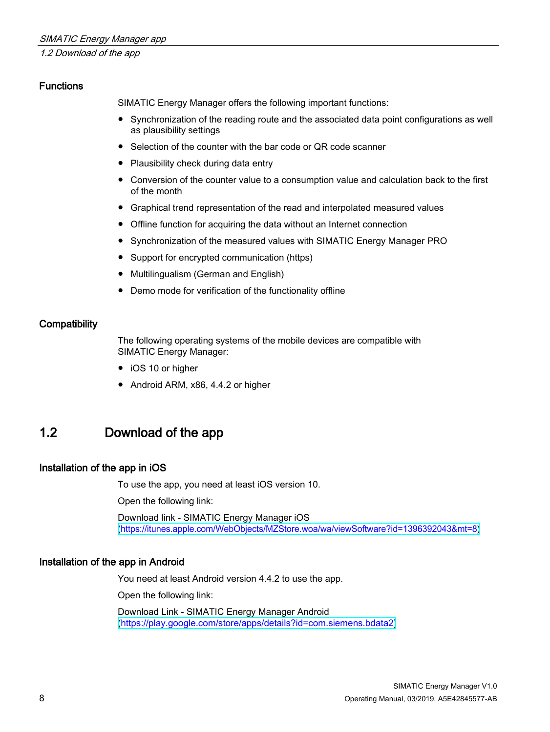1.2 Download of the app

#### Functions

SIMATIC Energy Manager offers the following important functions:

- Synchronization of the reading route and the associated data point configurations as well as plausibility settings
- Selection of the counter with the bar code or QR code scanner
- Plausibility check during data entry
- Conversion of the counter value to a consumption value and calculation back to the first of the month
- Graphical trend representation of the read and interpolated measured values
- Offline function for acquiring the data without an Internet connection
- Synchronization of the measured values with SIMATIC Energy Manager PRO
- Support for encrypted communication (https)
- Multilingualism (German and English)
- Demo mode for verification of the functionality offline

#### **Compatibility**

The following operating systems of the mobile devices are compatible with SIMATIC Energy Manager:

- iOS 10 or higher
- Android ARM, x86, 4.4.2 or higher

## <span id="page-7-0"></span>1.2 Download of the app

#### Installation of the app in iOS

To use the app, you need at least iOS version 10.

Open the following link:

Download link - SIMATIC Energy Manager iOS [\(https://itunes.apple.com/WebObjects/MZStore.woa/wa/viewSoftware?id=1396392043&mt=8\)](https://itunes.apple.com/WebObjects/MZStore.woa/wa/viewSoftware?id=1396392043&mt=8)

#### Installation of the app in Android

You need at least Android version 4.4.2 to use the app.

Open the following link:

Download Link - SIMATIC Energy Manager Android [\(https://play.google.com/store/apps/details?id=com.siemens.bdata2\)](https://play.google.com/store/apps/details?id=com.siemens.bdata2)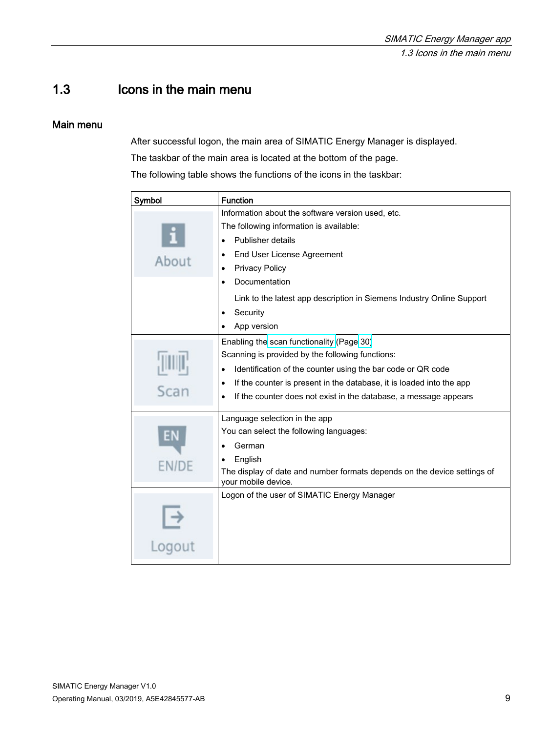# <span id="page-8-0"></span>1.3 Icons in the main menu

#### Main menu

After successful logon, the main area of SIMATIC Energy Manager is displayed. The taskbar of the main area is located at the bottom of the page. The following table shows the functions of the icons in the taskbar:

| Symbol | <b>Function</b>                                                                                 |
|--------|-------------------------------------------------------------------------------------------------|
|        | Information about the software version used, etc.                                               |
|        | The following information is available:                                                         |
|        | Publisher details                                                                               |
| About  | End User License Agreement                                                                      |
|        | <b>Privacy Policy</b>                                                                           |
|        | Documentation<br>$\bullet$                                                                      |
|        | Link to the latest app description in Siemens Industry Online Support                           |
|        | Security                                                                                        |
|        | App version                                                                                     |
|        | Enabling the scan functionality (Page 30)                                                       |
|        | Scanning is provided by the following functions:                                                |
|        | Identification of the counter using the bar code or QR code<br>$\bullet$                        |
| Scan   | If the counter is present in the database, it is loaded into the app<br>$\bullet$               |
|        | If the counter does not exist in the database, a message appears                                |
|        | Language selection in the app                                                                   |
| ΕN     | You can select the following languages:                                                         |
|        | German                                                                                          |
| EN/DE  | English                                                                                         |
|        | The display of date and number formats depends on the device settings of<br>your mobile device. |
|        | Logon of the user of SIMATIC Energy Manager                                                     |
|        |                                                                                                 |
|        |                                                                                                 |
|        |                                                                                                 |
| Logout |                                                                                                 |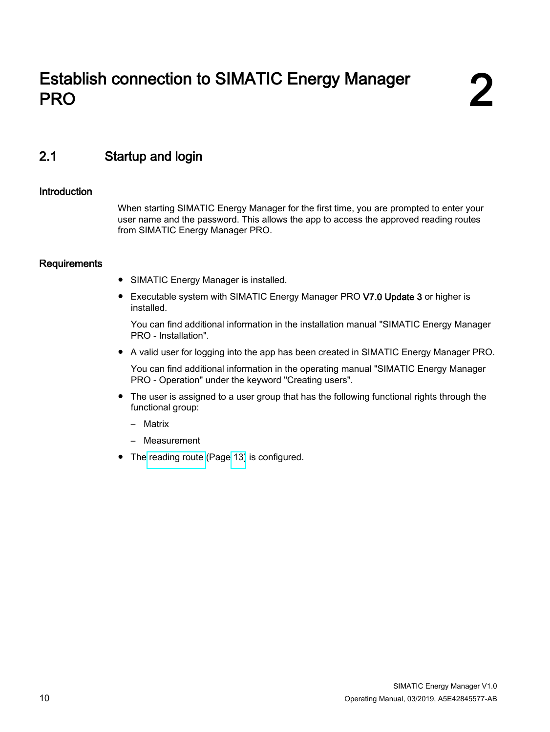# <span id="page-9-0"></span>Establish connection to SIMATIC Energy Manager<br>PRO

## <span id="page-9-1"></span>2.1 Startup and login

#### Introduction

When starting SIMATIC Energy Manager for the first time, you are prompted to enter your user name and the password. This allows the app to access the approved reading routes from SIMATIC Energy Manager PRO.

#### **Requirements**

- SIMATIC Energy Manager is installed.
- Executable system with SIMATIC Energy Manager PRO V7.0 Update 3 or higher is installed.

You can find additional information in the installation manual "SIMATIC Energy Manager PRO - Installation".

● A valid user for logging into the app has been created in SIMATIC Energy Manager PRO.

You can find additional information in the operating manual "SIMATIC Energy Manager PRO - Operation" under the keyword "Creating users".

- The user is assigned to a user group that has the following functional rights through the functional group:
	- Matrix
	- Measurement
- The [reading route](#page-12-0) (Page [13\)](#page-12-0) is configured.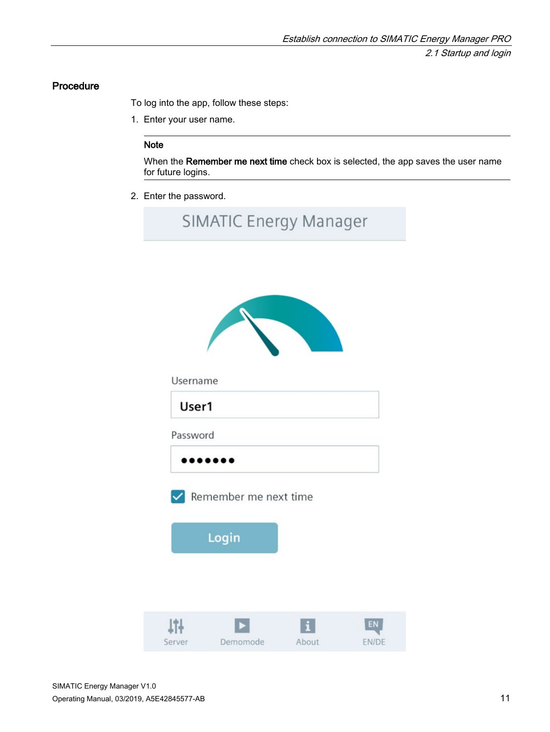#### Procedure

To log into the app, follow these steps:

1. Enter your user name.

#### Note

When the Remember me next time check box is selected, the app saves the user name for future logins.

2. Enter the password.

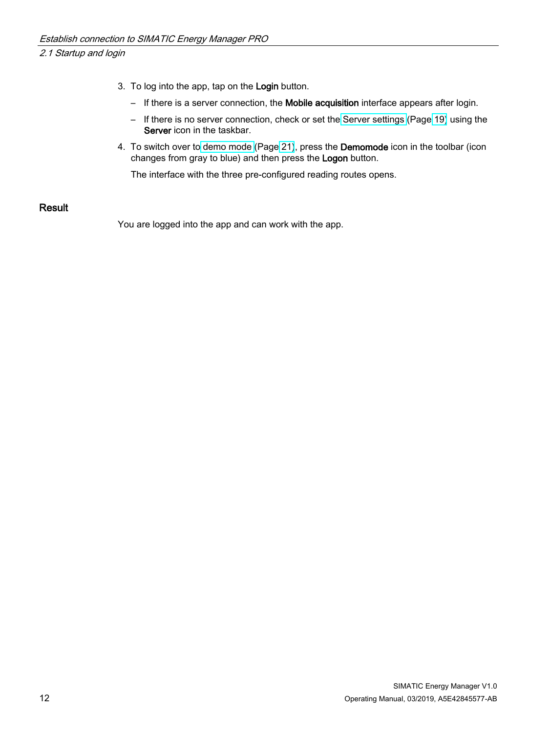2.1 Startup and login

- 3. To log into the app, tap on the Login button.
	- If there is a server connection, the Mobile acquisition interface appears after login.
	- If there is no server connection, check or set the [Server settings](#page-18-0) (Page [19\)](#page-18-0) using the Server icon in the taskbar.
- 4. To switch over to [demo mode](#page-20-0) (Page [21\)](#page-20-0), press the Demomode icon in the toolbar (icon changes from gray to blue) and then press the Logon button.

The interface with the three pre-configured reading routes opens.

Result

You are logged into the app and can work with the app.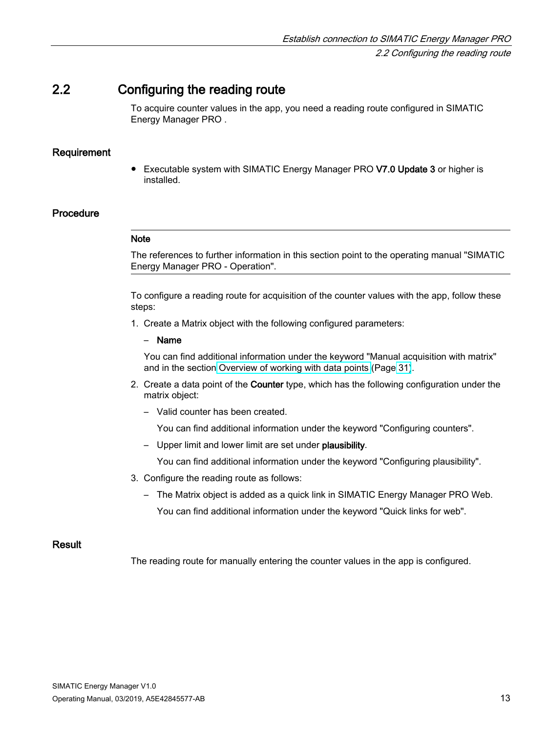# <span id="page-12-0"></span>2.2 Configuring the reading route

To acquire counter values in the app, you need a reading route configured in SIMATIC Energy Manager PRO .

#### Requirement

● Executable system with SIMATIC Energy Manager PRO V7.0 Update 3 or higher is installed.

#### Procedure

#### Note

The references to further information in this section point to the operating manual "SIMATIC Energy Manager PRO - Operation".

To configure a reading route for acquisition of the counter values with the app, follow these steps:

- 1. Create a Matrix object with the following configured parameters:
	- Name

You can find additional information under the keyword "Manual acquisition with matrix" and in the section [Overview of working with data points](#page-30-1) (Page [31\)](#page-30-1).

- 2. Create a data point of the Counter type, which has the following configuration under the matrix object:
	- Valid counter has been created.

You can find additional information under the keyword "Configuring counters".

– Upper limit and lower limit are set under plausibility.

You can find additional information under the keyword "Configuring plausibility".

- 3. Configure the reading route as follows:
	- The Matrix object is added as a quick link in SIMATIC Energy Manager PRO Web. You can find additional information under the keyword "Quick links for web".

#### Result

The reading route for manually entering the counter values in the app is configured.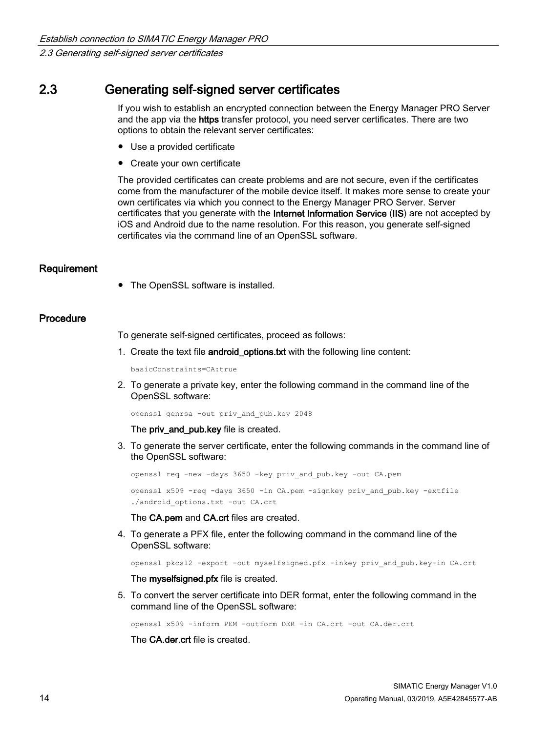# <span id="page-13-0"></span>2.3 Generating self-signed server certificates

If you wish to establish an encrypted connection between the Energy Manager PRO Server and the app via the https transfer protocol, you need server certificates. There are two options to obtain the relevant server certificates:

- Use a provided certificate
- Create your own certificate

The provided certificates can create problems and are not secure, even if the certificates come from the manufacturer of the mobile device itself. It makes more sense to create your own certificates via which you connect to the Energy Manager PRO Server. Server certificates that you generate with the Internet Information Service (IIS) are not accepted by iOS and Android due to the name resolution. For this reason, you generate self-signed certificates via the command line of an OpenSSL software.

#### Requirement

● The OpenSSL software is installed.

#### Procedure

To generate self-signed certificates, proceed as follows:

1. Create the text file android\_options.txt with the following line content:

basicConstraints=CA:true

2. To generate a private key, enter the following command in the command line of the OpenSSL software:

openssl genrsa -out priv\_and\_pub.key 2048

#### The **priv\_and\_pub.key** file is created.

3. To generate the server certificate, enter the following commands in the command line of the OpenSSL software:

openssl req -new -days 3650 -key priv\_and\_pub.key -out CA.pem

openssl x509 -req -days 3650 -in CA.pem -signkey priv\_and\_pub.key -extfile ./android\_options.txt -out CA.crt

The CA.pem and CA.crt files are created.

4. To generate a PFX file, enter the following command in the command line of the OpenSSL software:

openssl pkcs12 -export -out myselfsigned.pfx -inkey priv\_and\_pub.key-in CA.crt

The **myselfsigned.pfx** file is created.

5. To convert the server certificate into DER format, enter the following command in the command line of the OpenSSL software:

openssl x509 -inform PEM -outform DER -in CA.crt -out CA.der.crt

The CA.der.crt file is created.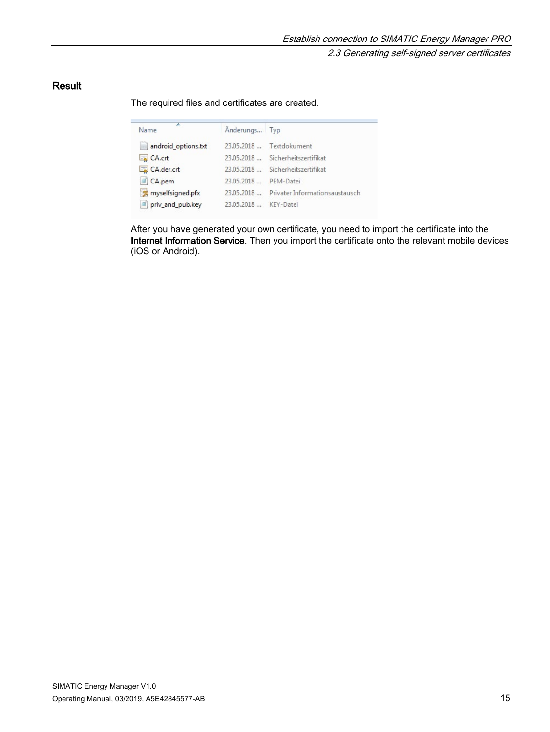#### Result

The required files and certificates are created.

| ×<br>Name           | Änderungs Typ         |                                   |
|---------------------|-----------------------|-----------------------------------|
| android_options.txt |                       | 23.05.2018  Textdokument          |
| CA.crt              |                       | 23.05.2018  Sicherheitszertifikat |
| CA.der.crt          |                       | 23.05.2018  Sicherheitszertifikat |
| CA.pem              | 23.05.2018  PEM-Datei |                                   |
| myselfsigned.pfx    | 23.05.2018            | Privater Informationsaustausch    |
| priv_and_pub.key    | 23.05.2018  KFY-Datei |                                   |

After you have generated your own certificate, you need to import the certificate into the Internet Information Service. Then you import the certificate onto the relevant mobile devices (iOS or Android).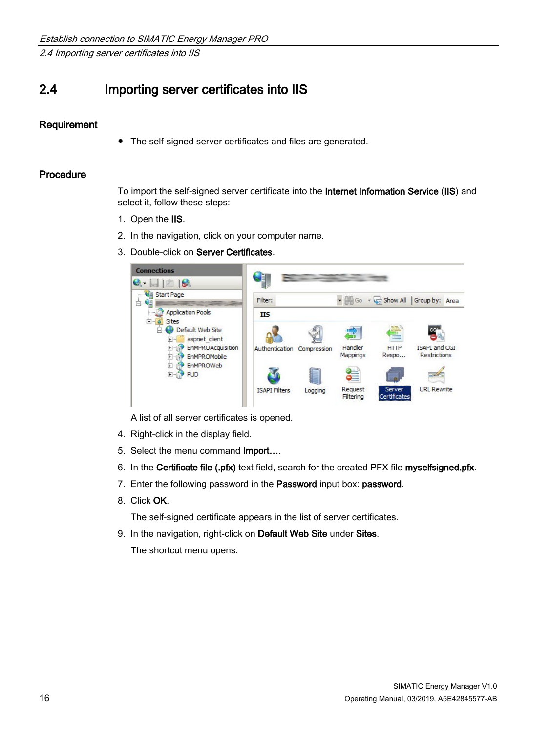2.4 Importing server certificates into IIS

# <span id="page-15-0"></span>2.4 Importing server certificates into IIS

#### Requirement

● The self-signed server certificates and files are generated.

#### Procedure

To import the self-signed server certificate into the Internet Information Service (IIS) and select it, follow these steps:

- 1. Open the IIS.
- 2. In the navigation, click on your computer name.
- 3. Double-click on Server Certificates.



A list of all server certificates is opened.

- 4. Right-click in the display field.
- 5. Select the menu command Import....
- 6. In the Certificate file (.pfx) text field, search for the created PFX file myselfsigned.pfx.
- 7. Enter the following password in the Password input box: password.
- 8. Click OK.

The self-signed certificate appears in the list of server certificates.

9. In the navigation, right-click on Default Web Site under Sites.

The shortcut menu opens.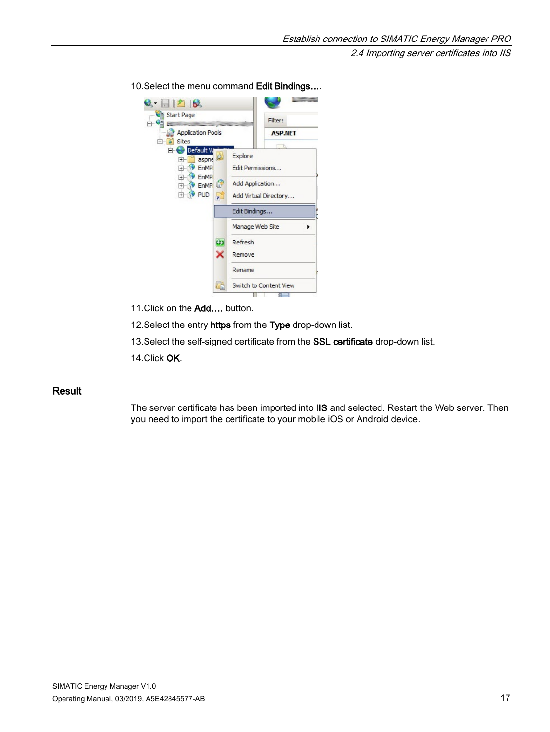| Start Page                                                                                                                          | Filter:                                                                                         |
|-------------------------------------------------------------------------------------------------------------------------------------|-------------------------------------------------------------------------------------------------|
| <b>Application Pools</b><br><b>Sites</b><br><b>H-10</b>                                                                             | <b>ASP.NET</b>                                                                                  |
| Default W<br>Ė<br>aspne<br>$\overline{+}$<br><b>EnMP</b><br>Ė<br>Ė<br><b>EnMP</b><br>ė,<br><b>EnMP</b><br>田福井<br><b>E</b> PUD<br>a. | <b>Explore</b><br>Edit Permissions<br>Add Application<br>Add Virtual Directory<br>Edit Bindings |
|                                                                                                                                     | Manage Web Site<br>Refresh                                                                      |
|                                                                                                                                     | Remove                                                                                          |

10. Select the menu command Fdit Bindings

11. Click on the Add.... button.

12. Select the entry https from the Type drop-down list.

13.Select the self-signed certificate from the SSL certificate drop-down list.

14.Click OK.

#### Result

The server certificate has been imported into IIS and selected. Restart the Web server. Then you need to import the certificate to your mobile iOS or Android device.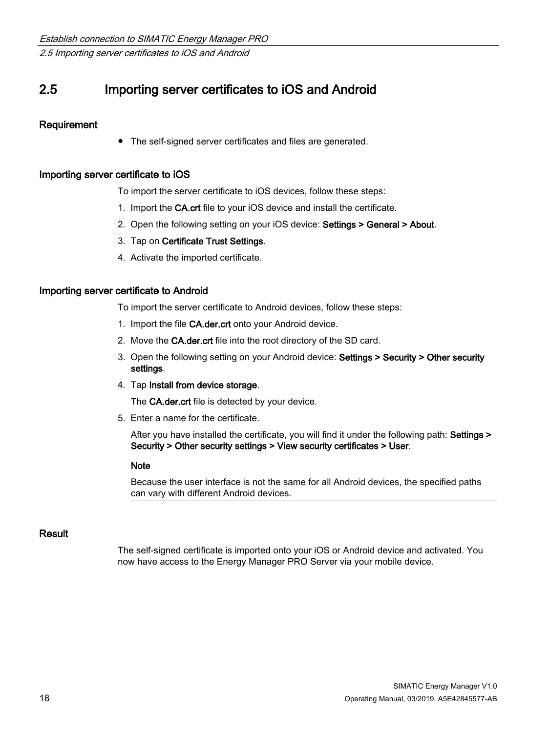# <span id="page-17-0"></span>2.5 Importing server certificates to iOS and Android

#### Requirement

● The self-signed server certificates and files are generated.

#### Importing server certificate to iOS

To import the server certificate to iOS devices, follow these steps:

- 1. Import the CA.crt file to your iOS device and install the certificate.
- 2. Open the following setting on your iOS device: Settings > General > About.
- 3. Tap on Certificate Trust Settings.
- 4. Activate the imported certificate.

#### Importing server certificate to Android

To import the server certificate to Android devices, follow these steps:

- 1. Import the file CA.der.crt onto your Android device.
- 2. Move the CA.der.crt file into the root directory of the SD card.
- 3. Open the following setting on your Android device: Settings > Security > Other security settings.
- 4. Tap Install from device storage.

The CA.der.crt file is detected by your device.

5. Enter a name for the certificate.

After you have installed the certificate, you will find it under the following path: Settings > Security > Other security settings > View security certificates > User.

#### Note

Because the user interface is not the same for all Android devices, the specified paths can vary with different Android devices.

#### Result

The self-signed certificate is imported onto your iOS or Android device and activated. You now have access to the Energy Manager PRO Server via your mobile device.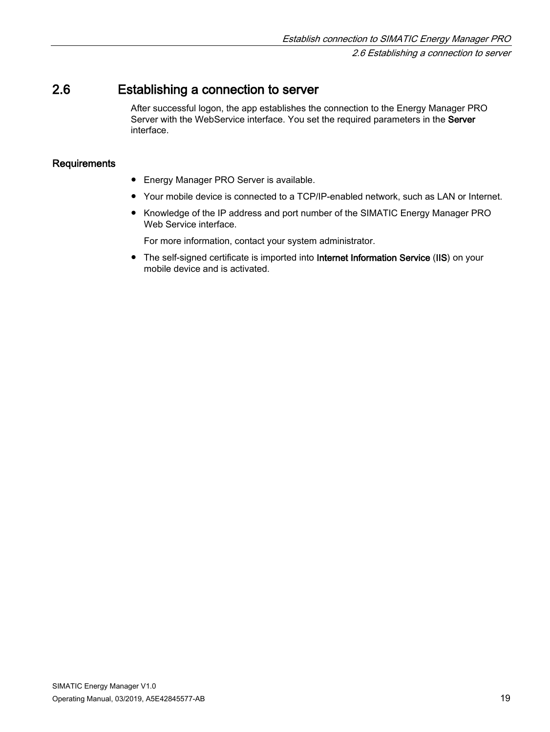# <span id="page-18-0"></span>2.6 Establishing a connection to server

After successful logon, the app establishes the connection to the Energy Manager PRO Server with the WebService interface. You set the required parameters in the Server interface.

#### **Requirements**

- Energy Manager PRO Server is available.
- Your mobile device is connected to a TCP/IP-enabled network, such as LAN or Internet.
- Knowledge of the IP address and port number of the SIMATIC Energy Manager PRO Web Service interface.

For more information, contact your system administrator.

● The self-signed certificate is imported into Internet Information Service (IIS) on your mobile device and is activated.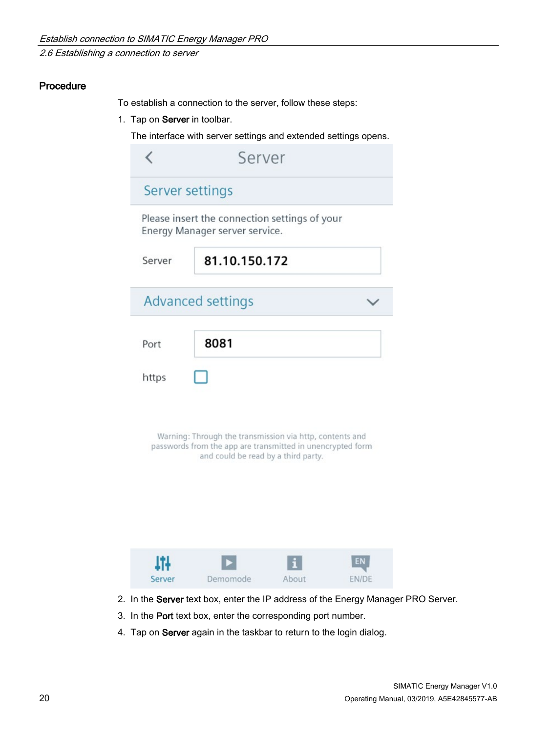2.6 Establishing a connection to server

#### Procedure

To establish a connection to the server, follow these steps:

1. Tap on Server in toolbar.

The interface with server settings and extended settings opens.

|                 | Server                                                                                                                                                        |
|-----------------|---------------------------------------------------------------------------------------------------------------------------------------------------------------|
| Server settings |                                                                                                                                                               |
|                 | Please insert the connection settings of your<br>Energy Manager server service.                                                                               |
| Server          | 81.10.150.172                                                                                                                                                 |
|                 | <b>Advanced settings</b>                                                                                                                                      |
| Port            | 8081                                                                                                                                                          |
| https           |                                                                                                                                                               |
|                 | Warning: Through the transmission via http, contents and<br>passwords from the app are transmitted in unencrypted form<br>and could be read by a third party. |



- 2. In the Server text box, enter the IP address of the Energy Manager PRO Server.
- 3. In the Port text box, enter the corresponding port number.
- 4. Tap on Server again in the taskbar to return to the login dialog.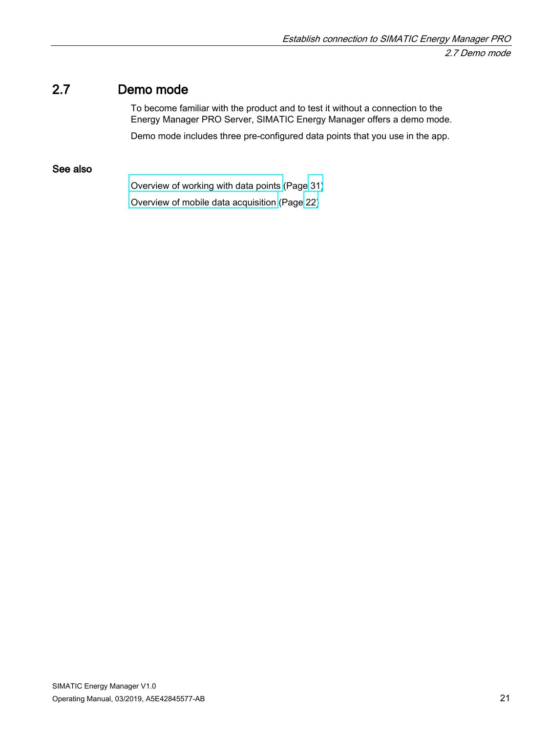# <span id="page-20-0"></span>2.7 Demo mode

To become familiar with the product and to test it without a connection to the Energy Manager PRO Server, SIMATIC Energy Manager offers a demo mode.

Demo mode includes three pre-configured data points that you use in the app.

#### See also

[Overview of working with data points](#page-30-1) (Page [31\)](#page-30-1) [Overview of mobile data acquisition](#page-21-1) (Page [22\)](#page-21-1)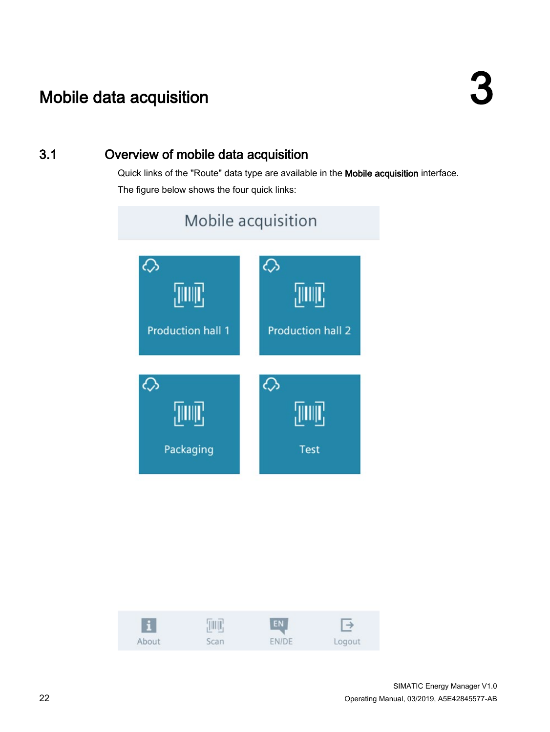# <span id="page-21-1"></span><span id="page-21-0"></span>Mobile data acquisition 3

# 3.1 Overview of mobile data acquisition

Quick links of the "Route" data type are available in the Mobile acquisition interface. The figure below shows the four quick links:



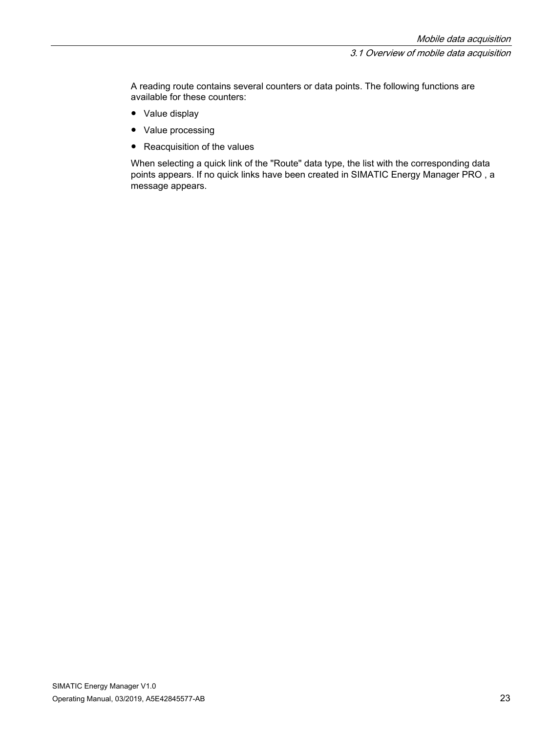A reading route contains several counters or data points. The following functions are available for these counters:

- Value display
- Value processing
- Reacquisition of the values

When selecting a quick link of the "Route" data type, the list with the corresponding data points appears. If no quick links have been created in SIMATIC Energy Manager PRO , a message appears.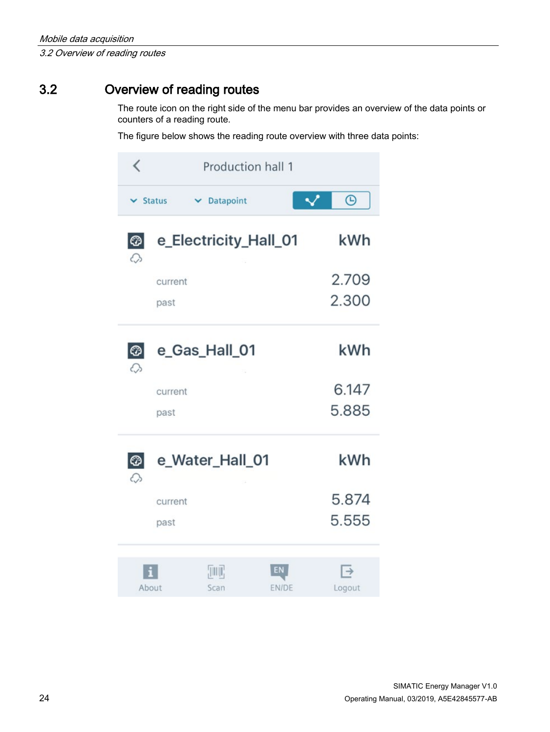# <span id="page-23-0"></span>3.2 Overview of reading routes

The route icon on the right side of the menu bar provides an overview of the data points or counters of a reading route.

The figure below shows the reading route overview with three data points:

| L                       | Production hall 1                                  |                     |
|-------------------------|----------------------------------------------------|---------------------|
| $\vee$ Status           | <b>Datapoint</b>                                   | $_{\oplus}$         |
| $\circledcirc$<br>♤     | e_Electricity_Hall_01                              | kWh                 |
|                         | current                                            | 2.709               |
|                         | past                                               | 2.300               |
| $  \circledcirc  $<br>♤ | e_Gas_Hall_01                                      | kWh                 |
|                         | current                                            | 6.147               |
|                         | past                                               | 5.885               |
| $\circledcirc$<br>♤     | e_Water_Hall_01                                    | kWh                 |
|                         | current                                            | 5.874               |
|                         | past                                               | 5.555               |
|                         | <b>HULL</b><br>EN<br>About<br>Scan<br><b>EN/DE</b> | $\mapsto$<br>Logout |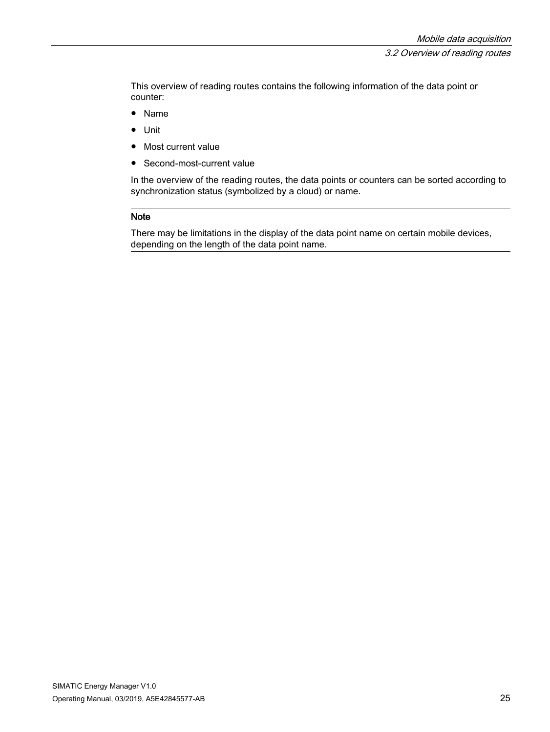This overview of reading routes contains the following information of the data point or counter:

- Name
- Unit
- Most current value
- Second-most-current value

In the overview of the reading routes, the data points or counters can be sorted according to synchronization status (symbolized by a cloud) or name.

#### Note

There may be limitations in the display of the data point name on certain mobile devices, depending on the length of the data point name.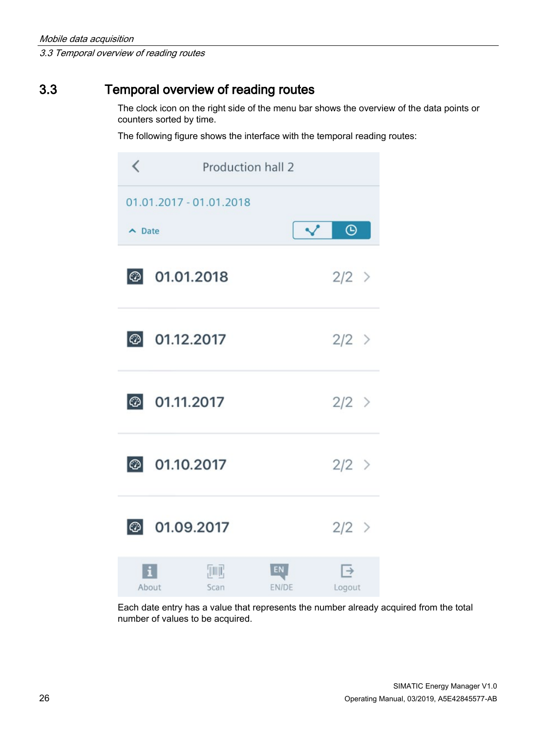# <span id="page-25-0"></span>3.3 Temporal overview of reading routes

The clock icon on the right side of the menu bar shows the overview of the data points or counters sorted by time.

The following figure shows the interface with the temporal reading routes:

| く                       | Production hall 2 |             |                         |
|-------------------------|-------------------|-------------|-------------------------|
| 01.01.2017 - 01.01.2018 |                   |             |                         |
| $\triangle$ Date        |                   |             | $\boldsymbol{\odot}$    |
| <b>@</b> 01.01.2018     |                   |             | $2/2$ >                 |
| <b>@</b> 01.12.2017     |                   |             | $2/2$ >                 |
| <b>@</b> 01.11.2017     |                   |             | $2/2$ >                 |
| <b>@</b> 01.10.2017     |                   |             | $2/2$ >                 |
| <b>@</b> 01.09.2017     |                   |             | $2/2$ >                 |
| About                   | TILL<br>Scan      | EN<br>EN/DE | $\rightarrow$<br>Logout |

Each date entry has a value that represents the number already acquired from the total number of values to be acquired.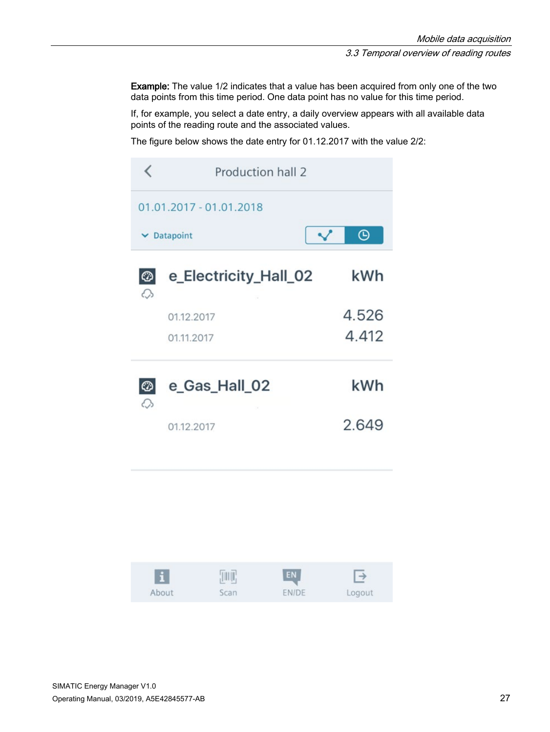Example: The value 1/2 indicates that a value has been acquired from only one of the two data points from this time period. One data point has no value for this time period.

If, for example, you select a date entry, a daily overview appears with all available data points of the reading route and the associated values.

The figure below shows the date entry for 01.12.2017 with the value 2/2:

| Ĉ                       | Production hall 2          |               |
|-------------------------|----------------------------|---------------|
|                         | 01.01.2017 - 01.01.2018    |               |
|                         | $\triangleright$ Datapoint | $\odot$       |
| ◎<br>↔                  | e_Electricity_Hall_02      | kWh           |
|                         | 01.12.2017                 | 4.526         |
|                         | 01.11.2017                 | 4.412         |
| $  \circledcirc  $<br>↔ | e_Gas_Hall_02              | kWh           |
|                         | 01.12.2017                 | 2.649         |
|                         |                            |               |
|                         |                            |               |
|                         |                            |               |
| i                       | EN<br>TILL                 | $\rightarrow$ |

About

Scan

EN/DE

Logout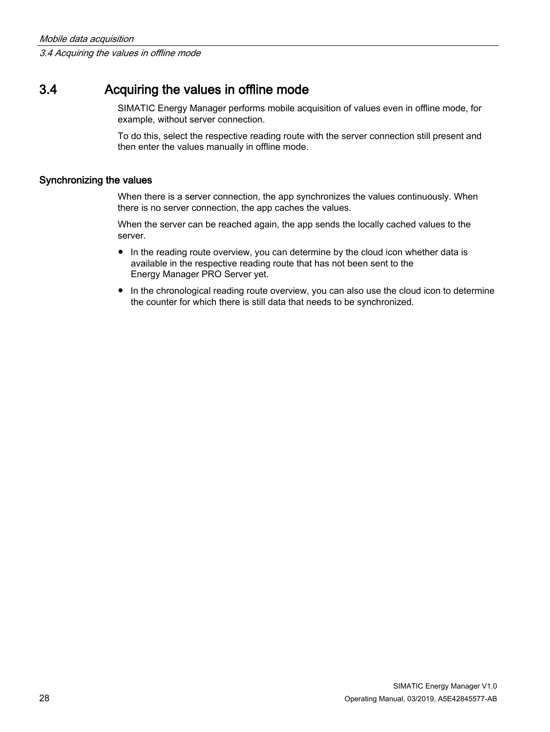# <span id="page-27-0"></span>3.4 Acquiring the values in offline mode

SIMATIC Energy Manager performs mobile acquisition of values even in offline mode, for example, without server connection.

To do this, select the respective reading route with the server connection still present and then enter the values manually in offline mode.

#### Synchronizing the values

When there is a server connection, the app synchronizes the values continuously. When there is no server connection, the app caches the values.

When the server can be reached again, the app sends the locally cached values to the server.

- In the reading route overview, you can determine by the cloud icon whether data is available in the respective reading route that has not been sent to the Energy Manager PRO Server yet.
- In the chronological reading route overview, you can also use the cloud icon to determine the counter for which there is still data that needs to be synchronized.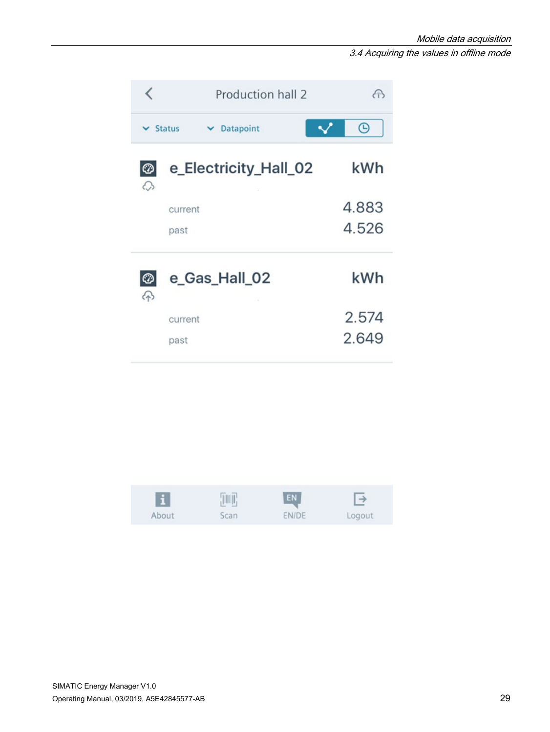|               | Production hall 2                |                         |
|---------------|----------------------------------|-------------------------|
| $\vee$ Status | <b>Datapoint</b><br>$\checkmark$ | $\odot$<br>$\checkmark$ |
| ◎<br>↔        | e_Electricity_Hall_02            | kWh                     |
|               | current                          | 4.883                   |
|               | past                             | 4.526                   |
| क़            | e_Gas_Hall_02                    | kWh                     |
|               | current                          | 2.574                   |
|               | past                             | 2.649                   |

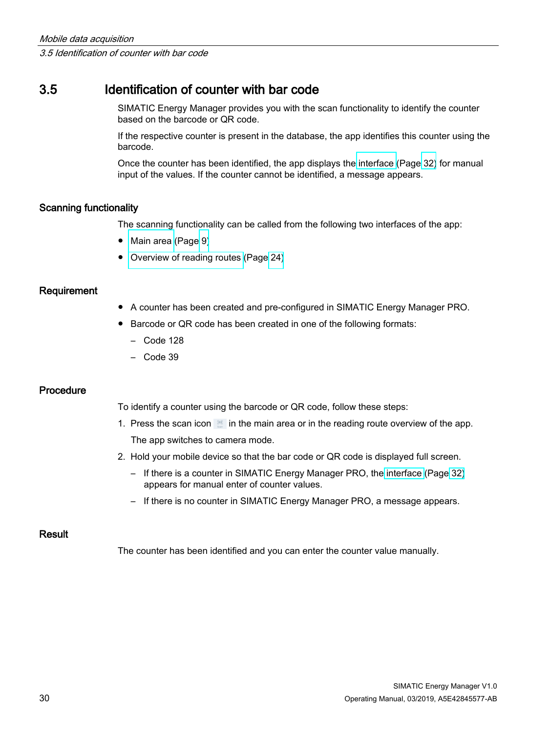# <span id="page-29-0"></span>3.5 Identification of counter with bar code

SIMATIC Energy Manager provides you with the scan functionality to identify the counter based on the barcode or QR code.

If the respective counter is present in the database, the app identifies this counter using the barcode.

Once the counter has been identified, the app displays the [interface](#page-31-0) (Page [32\)](#page-31-0) for manual input of the values. If the counter cannot be identified, a message appears.

#### Scanning functionality

The scanning functionality can be called from the following two interfaces of the app:

- [Main area](#page-8-0) (Page [9\)](#page-8-0)
- [Overview of reading routes](#page-23-0) (Page [24\)](#page-23-0)

#### Requirement

- A counter has been created and pre-configured in SIMATIC Energy Manager PRO.
- Barcode or QR code has been created in one of the following formats:
	- Code 128
	- Code 39

#### Procedure

To identify a counter using the barcode or QR code, follow these steps:

- 1. Press the scan icon  $\blacksquare$  in the main area or in the reading route overview of the app. The app switches to camera mode.
- 2. Hold your mobile device so that the bar code or QR code is displayed full screen.
	- If there is a counter in SIMATIC Energy Manager PRO, the [interface](#page-31-0) (Page [32\)](#page-31-0) appears for manual enter of counter values.
	- If there is no counter in SIMATIC Energy Manager PRO, a message appears.

#### **Result**

The counter has been identified and you can enter the counter value manually.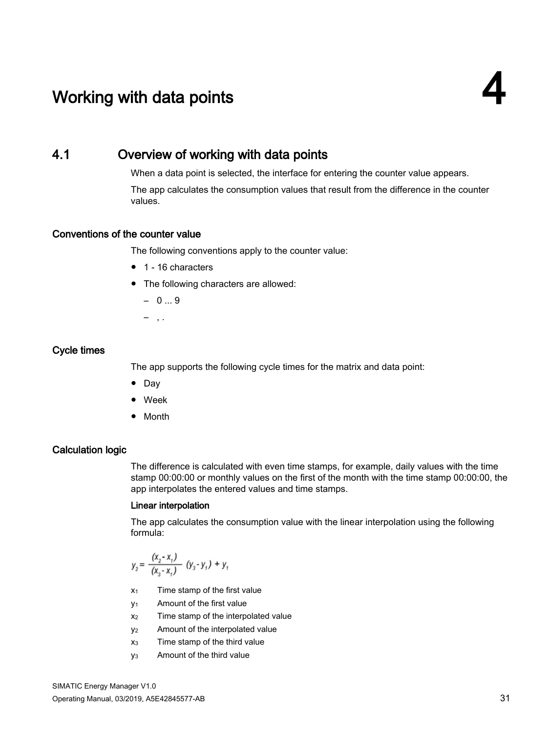# <span id="page-30-1"></span><span id="page-30-0"></span>Working with data points 4

## 4.1 Overview of working with data points

When a data point is selected, the interface for entering the counter value appears.

The app calculates the consumption values that result from the difference in the counter values.

#### Conventions of the counter value

The following conventions apply to the counter value:

- 1 16 characters
- The following characters are allowed:
	- $-0...9$
	- $-$ , .

#### Cycle times

The app supports the following cycle times for the matrix and data point:

- Day
- Week
- Month

#### Calculation logic

The difference is calculated with even time stamps, for example, daily values with the time stamp 00:00:00 or monthly values on the first of the month with the time stamp 00:00:00, the app interpolates the entered values and time stamps.

#### Linear interpolation

The app calculates the consumption value with the linear interpolation using the following formula:

$$
y_2 = \frac{(x_2 - x_1)}{(x_3 - x_1)} (y_3 - y_1) + y_1
$$

- $x_1$  Time stamp of the first value
- y1 Amount of the first value
- x2 Time stamp of the interpolated value
- y2 Amount of the interpolated value
- x3 Time stamp of the third value
- y3 Amount of the third value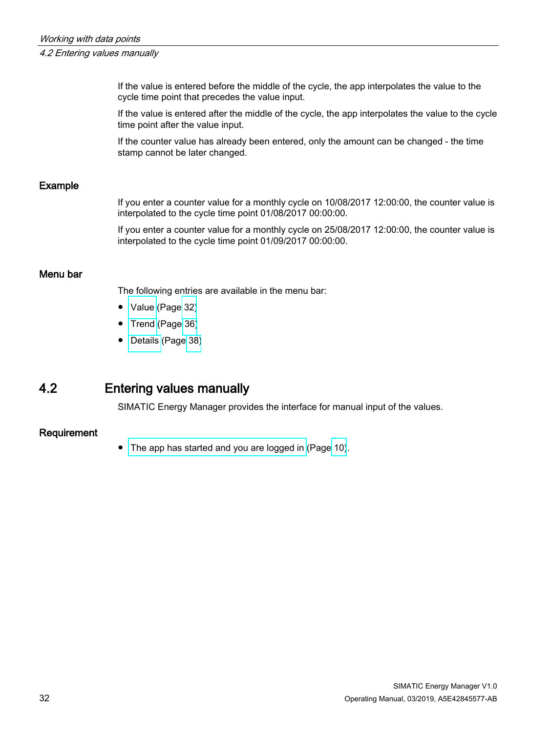If the value is entered before the middle of the cycle, the app interpolates the value to the cycle time point that precedes the value input.

If the value is entered after the middle of the cycle, the app interpolates the value to the cycle time point after the value input.

If the counter value has already been entered, only the amount can be changed - the time stamp cannot be later changed.

#### Example

If you enter a counter value for a monthly cycle on 10/08/2017 12:00:00, the counter value is interpolated to the cycle time point 01/08/2017 00:00:00.

If you enter a counter value for a monthly cycle on 25/08/2017 12:00:00, the counter value is interpolated to the cycle time point 01/09/2017 00:00:00.

#### Menu bar

The following entries are available in the menu bar:

- [Value](#page-31-0) (Page [32\)](#page-31-0)
- [Trend](#page-35-0) (Page [36\)](#page-35-0)
- [Details](#page-37-0) (Page [38\)](#page-37-0)

## <span id="page-31-0"></span>4.2 Entering values manually

SIMATIC Energy Manager provides the interface for manual input of the values.

#### Requirement

● [The app has started and you are logged in](#page-9-1) (Page [10\)](#page-9-1).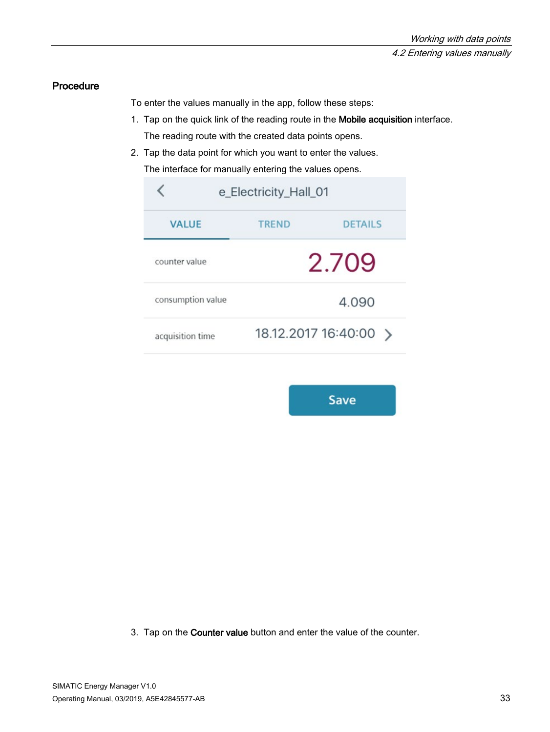#### Procedure

To enter the values manually in the app, follow these steps:

- 1. Tap on the quick link of the reading route in the Mobile acquisition interface. The reading route with the created data points opens.
- 2. Tap the data point for which you want to enter the values. The interface for manually entering the values opens.

| <b>DETAILS</b>                       |
|--------------------------------------|
|                                      |
| 2.709                                |
| 4.090                                |
| 18.12.2017 16:40:00<br>$\rightarrow$ |
|                                      |



3. Tap on the Counter value button and enter the value of the counter.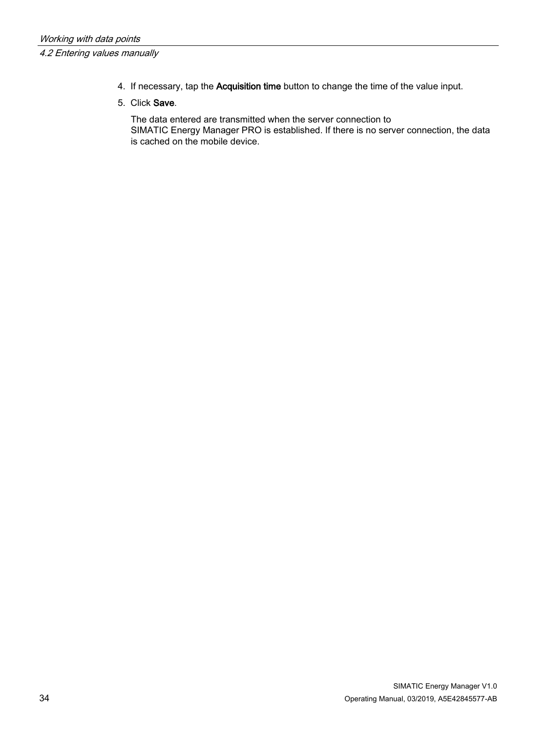4.2 Entering values manually

- 4. If necessary, tap the Acquisition time button to change the time of the value input.
- 5. Click Save.

The data entered are transmitted when the server connection to SIMATIC Energy Manager PRO is established. If there is no server connection, the data is cached on the mobile device.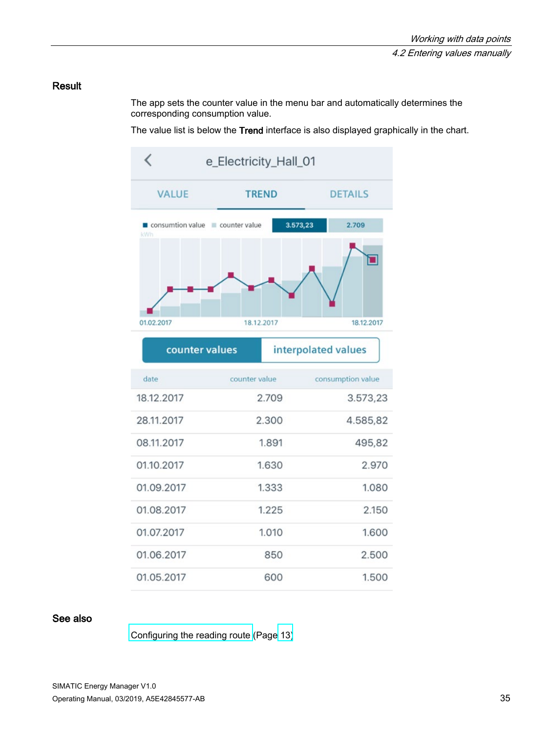#### Result

The app sets the counter value in the menu bar and automatically determines the corresponding consumption value.

The value list is below the Trend interface is also displayed graphically in the chart.



| counter values |               | interpolated values |
|----------------|---------------|---------------------|
| date           | counter value | consumption value   |
| 18.12.2017     | 2.709         | 3.573,23            |
| 28.11.2017     | 2.300         | 4.585,82            |
| 08.11.2017     | 1.891         | 495,82              |
| 01.10.2017     | 1.630         | 2.970               |
| 01.09.2017     | 1.333         | 1.080               |
| 01.08.2017     | 1.225         | 2.150               |
| 01.07.2017     | 1.010         | 1.600               |
| 01.06.2017     | 850           | 2.500               |
| 01.05.2017     | 600           | 1.500               |

#### See also

[Configuring the reading route](#page-12-0) (Page [13\)](#page-12-0)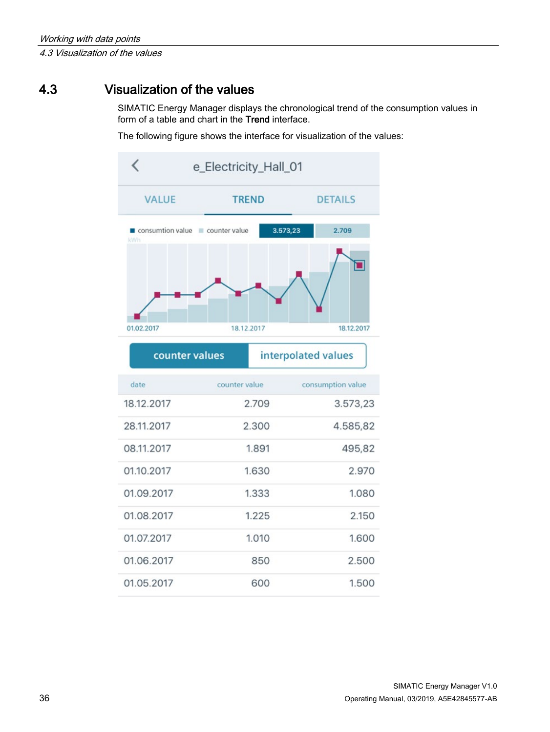# <span id="page-35-0"></span>4.3 Visualization of the values

SIMATIC Energy Manager displays the chronological trend of the consumption values in form of a table and chart in the Trend interface.

The following figure shows the interface for visualization of the values:

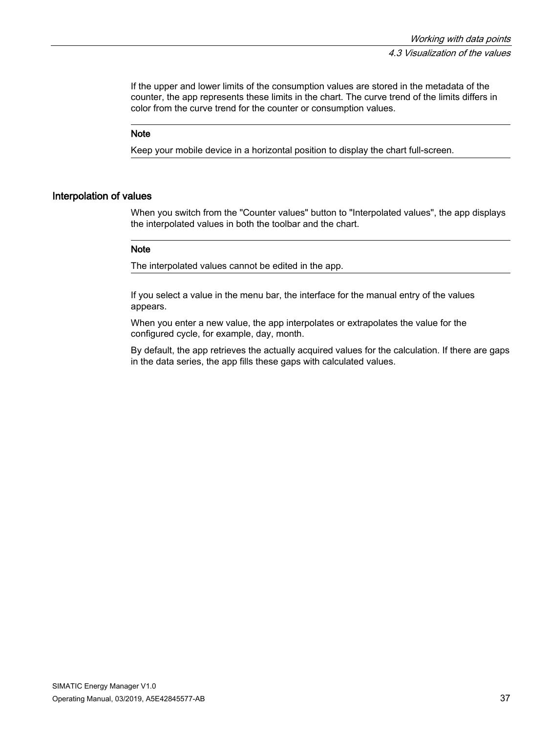If the upper and lower limits of the consumption values are stored in the metadata of the counter, the app represents these limits in the chart. The curve trend of the limits differs in color from the curve trend for the counter or consumption values.

**Note** 

Keep your mobile device in a horizontal position to display the chart full-screen.

#### Interpolation of values

When you switch from the "Counter values" button to "Interpolated values", the app displays the interpolated values in both the toolbar and the chart.

#### **Note**

The interpolated values cannot be edited in the app.

If you select a value in the menu bar, the interface for the manual entry of the values appears.

When you enter a new value, the app interpolates or extrapolates the value for the configured cycle, for example, day, month.

By default, the app retrieves the actually acquired values for the calculation. If there are gaps in the data series, the app fills these gaps with calculated values.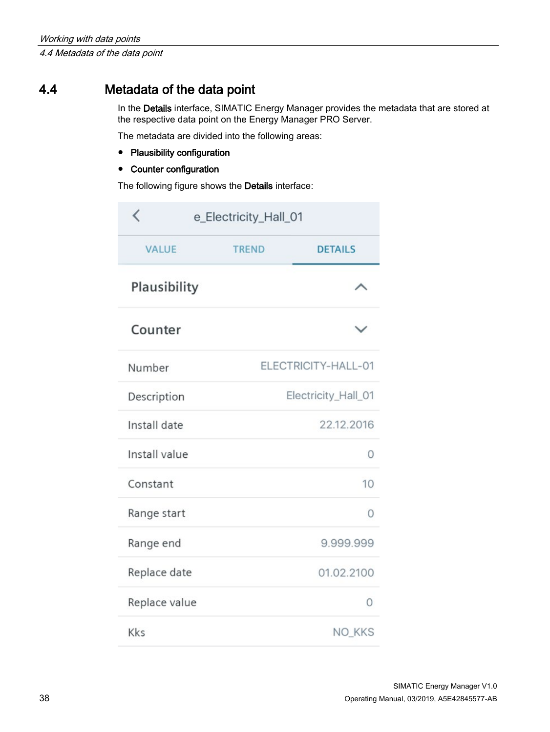# <span id="page-37-0"></span>4.4 Metadata of the data point

In the Details interface, SIMATIC Energy Manager provides the metadata that are stored at the respective data point on the Energy Manager PRO Server.

The metadata are divided into the following areas:

- Plausibility configuration
- Counter configuration

The following figure shows the Details interface:

| e_Electricity_Hall_01 |              |                     |
|-----------------------|--------------|---------------------|
| <b>VALUE</b>          | <b>TREND</b> | <b>DETAILS</b>      |
| Plausibility          |              |                     |
| Counter               |              |                     |
| Number                |              | ELECTRICITY-HALL-01 |
| Description           |              | Electricity_Hall_01 |
| Install date          |              | 22.12.2016          |
| Install value         |              | 0                   |
| Constant              |              | 10                  |
| Range start           |              | 0                   |
| Range end             |              | 9.999.999           |
| Replace date          |              | 01.02.2100          |
| Replace value         |              | Ω                   |
| <b>Kks</b>            |              | <b>NO_KKS</b>       |